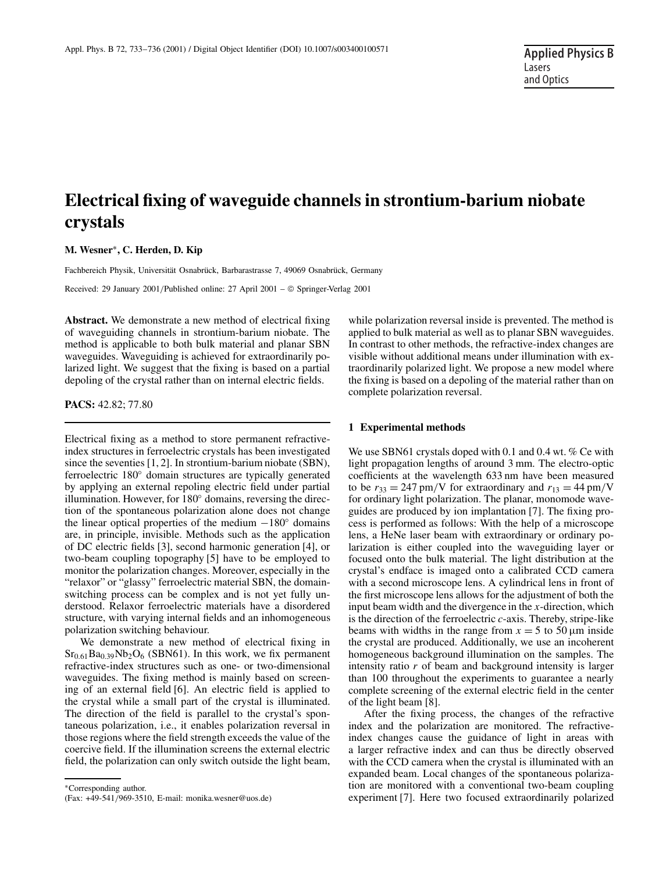# **Electrical fixing of waveguide channels in strontium-barium niobate crystals**

**M. Wesner**∗**, C. Herden, D. Kip**

Fachbereich Physik, Universität Osnabrück, Barbarastrasse 7, 49069 Osnabrück, Germany

Received: 29 January 2001/Published online: 27 April 2001 – © Springer-Verlag 2001

**Abstract.** We demonstrate a new method of electrical fixing of waveguiding channels in strontium-barium niobate. The method is applicable to both bulk material and planar SBN waveguides. Waveguiding is achieved for extraordinarily polarized light. We suggest that the fixing is based on a partial depoling of the crystal rather than on internal electric fields.

**PACS:** 42.82; 77.80

Electrical fixing as a method to store permanent refractiveindex structures in ferroelectric crystals has been investigated since the seventies [1, 2]. In strontium-barium niobate (SBN), ferroelectric 180◦ domain structures are typically generated by applying an external repoling electric field under partial illumination. However, for 180◦ domains, reversing the direction of the spontaneous polarization alone does not change the linear optical properties of the medium  $-180°$  domains are, in principle, invisible. Methods such as the application of DC electric fields [3], second harmonic generation [4], or two-beam coupling topography [5] have to be employed to monitor the polarization changes. Moreover, especially in the "relaxor" or "glassy" ferroelectric material SBN, the domainswitching process can be complex and is not yet fully understood. Relaxor ferroelectric materials have a disordered structure, with varying internal fields and an inhomogeneous polarization switching behaviour.

We demonstrate a new method of electrical fixing in  $Sr<sub>0.61</sub>Ba<sub>0.39</sub>Nb<sub>2</sub>O<sub>6</sub>$  (SBN61). In this work, we fix permanent refractive-index structures such as one- or two-dimensional waveguides. The fixing method is mainly based on screening of an external field [6]. An electric field is applied to the crystal while a small part of the crystal is illuminated. The direction of the field is parallel to the crystal's spontaneous polarization, i.e., it enables polarization reversal in those regions where the field strength exceeds the value of the coercive field. If the illumination screens the external electric field, the polarization can only switch outside the light beam, while polarization reversal inside is prevented. The method is applied to bulk material as well as to planar SBN waveguides. In contrast to other methods, the refractive-index changes are visible without additional means under illumination with extraordinarily polarized light. We propose a new model where the fixing is based on a depoling of the material rather than on complete polarization reversal.

#### **1 Experimental methods**

We use SBN61 crystals doped with 0.1 and 0.4 wt. % Ce with light propagation lengths of around 3 mm. The electro-optic coefficients at the wavelength 633 nm have been measured to be  $r_{33} = 247$  pm/V for extraordinary and  $r_{13} = 44$  pm/V for ordinary light polarization. The planar, monomode waveguides are produced by ion implantation [7]. The fixing process is performed as follows: With the help of a microscope lens, a HeNe laser beam with extraordinary or ordinary polarization is either coupled into the waveguiding layer or focused onto the bulk material. The light distribution at the crystal's endface is imaged onto a calibrated CCD camera with a second microscope lens. A cylindrical lens in front of the first microscope lens allows for the adjustment of both the input beam width and the divergence in the *x*-direction, which is the direction of the ferroelectric *c*-axis. Thereby, stripe-like beams with widths in the range from  $x = 5$  to 50  $\mu$ m inside the crystal are produced. Additionally, we use an incoherent homogeneous background illumination on the samples. The intensity ratio *r* of beam and background intensity is larger than 100 throughout the experiments to guarantee a nearly complete screening of the external electric field in the center of the light beam [8].

After the fixing process, the changes of the refractive index and the polarization are monitored. The refractiveindex changes cause the guidance of light in areas with a larger refractive index and can thus be directly observed with the CCD camera when the crystal is illuminated with an expanded beam. Local changes of the spontaneous polarization are monitored with a conventional two-beam coupling experiment [7]. Here two focused extraordinarily polarized

<sup>∗</sup>Corresponding author. (Fax: +49-541/969-3510, E-mail: monika.wesner@uos.de)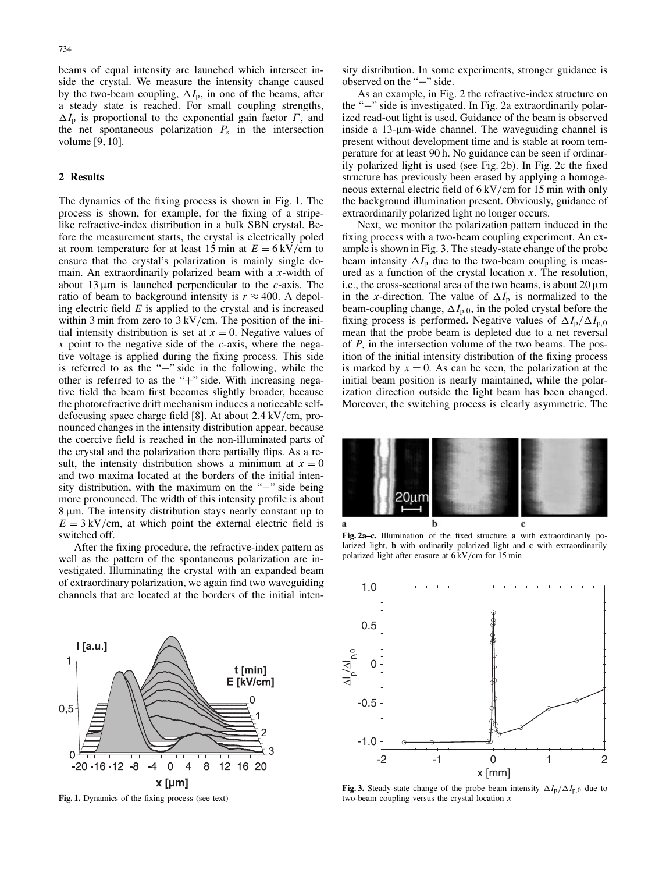beams of equal intensity are launched which intersect inside the crystal. We measure the intensity change caused by the two-beam coupling,  $\Delta I_p$ , in one of the beams, after a steady state is reached. For small coupling strengths,  $\Delta I_p$  is proportional to the exponential gain factor  $\Gamma$ , and the net spontaneous polarization  $P_s$  in the intersection volume [9, 10].

## **2 Results**

The dynamics of the fixing process is shown in Fig. 1. The process is shown, for example, for the fixing of a stripelike refractive-index distribution in a bulk SBN crystal. Before the measurement starts, the crystal is electrically poled at room temperature for at least 15 min at  $E = 6 \text{ kV/cm}$  to ensure that the crystal's polarization is mainly single domain. An extraordinarily polarized beam with a *x*-width of about 13 µm is launched perpendicular to the *c*-axis. The ratio of beam to background intensity is  $r \approx 400$ . A depoling electric field *E* is applied to the crystal and is increased within 3 min from zero to  $3 \text{ kV/cm}$ . The position of the initial intensity distribution is set at  $x = 0$ . Negative values of *x* point to the negative side of the *c*-axis, where the negative voltage is applied during the fixing process. This side is referred to as the "−" side in the following, while the other is referred to as the "+" side. With increasing negative field the beam first becomes slightly broader, because the photorefractive drift mechanism induces a noticeable selfdefocusing space charge field [8]. At about 2.4 kV/cm, pronounced changes in the intensity distribution appear, because the coercive field is reached in the non-illuminated parts of the crystal and the polarization there partially flips. As a result, the intensity distribution shows a minimum at  $x = 0$ and two maxima located at the borders of the initial intensity distribution, with the maximum on the "−" side being more pronounced. The width of this intensity profile is about 8 µm. The intensity distribution stays nearly constant up to  $E = 3 \text{ kV/cm}$ , at which point the external electric field is switched off.

After the fixing procedure, the refractive-index pattern as well as the pattern of the spontaneous polarization are investigated. Illuminating the crystal with an expanded beam of extraordinary polarization, we again find two waveguiding channels that are located at the borders of the initial inten-



**Fig. 1.** Dynamics of the fixing process (see text)

sity distribution. In some experiments, stronger guidance is observed on the "−" side.

As an example, in Fig. 2 the refractive-index structure on the "−" side is investigated. In Fig. 2a extraordinarily polarized read-out light is used. Guidance of the beam is observed inside a 13-µm-wide channel. The waveguiding channel is present without development time and is stable at room temperature for at least 90 h. No guidance can be seen if ordinarily polarized light is used (see Fig. 2b). In Fig. 2c the fixed structure has previously been erased by applying a homogeneous external electric field of 6 kV/cm for 15 min with only the background illumination present. Obviously, guidance of extraordinarily polarized light no longer occurs.

Next, we monitor the polarization pattern induced in the fixing process with a two-beam coupling experiment. An example is shown in Fig. 3. The steady-state change of the probe beam intensity  $\Delta I_p$  due to the two-beam coupling is measured as a function of the crystal location *x*. The resolution, i.e., the cross-sectional area of the two beams, is about  $20 \mu m$ in the *x*-direction. The value of  $\Delta I_p$  is normalized to the beam-coupling change,  $\Delta I_{p,0}$ , in the poled crystal before the fixing process is performed. Negative values of  $\Delta I_p / \Delta I_{p,0}$ mean that the probe beam is depleted due to a net reversal of *P*<sup>s</sup> in the intersection volume of the two beams. The position of the initial intensity distribution of the fixing process is marked by  $x = 0$ . As can be seen, the polarization at the initial beam position is nearly maintained, while the polarization direction outside the light beam has been changed. Moreover, the switching process is clearly asymmetric. The



**Fig. 2a–c.** Illumination of the fixed structure **a** with extraordinarily polarized light, **b** with ordinarily polarized light and **c** with extraordinarily polarized light after erasure at 6 kV/cm for 15 min



**Fig. 3.** Steady-state change of the probe beam intensity  $\Delta I_p / \Delta I_{p,0}$  due to two-beam coupling versus the crystal location *x*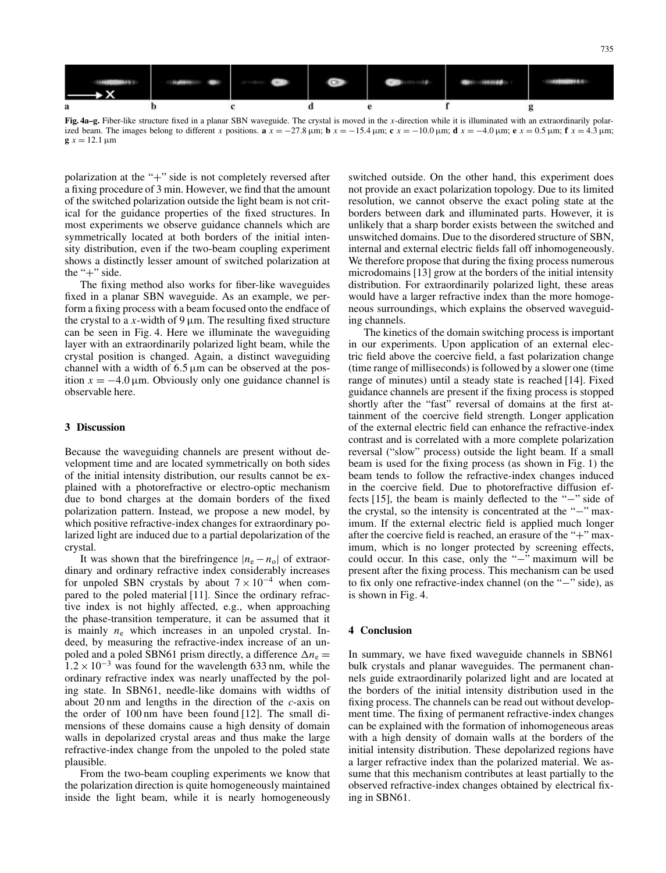

**Fig. 4a–g.** Fiber-like structure fixed in a planar SBN waveguide. The crystal is moved in the *x*-direction while it is illuminated with an extraordinarily polarized beam. The images belong to different x positions.  $\mathbf{a} x = -27.8 \mu m$ ;  $\mathbf{b} x = -15.4 \mu m$ ;  $\mathbf{c} x = -10.0 \mu m$ ;  $\mathbf{d} x = -4.0 \mu m$ ;  $\mathbf{e} x = 0.5 \mu m$ ;  $\mathbf{f} x = 4.3 \mu m$ ; **g**  $x = 12.1 \,\mu m$ 

polarization at the "+" side is not completely reversed after a fixing procedure of 3 min. However, we find that the amount of the switched polarization outside the light beam is not critical for the guidance properties of the fixed structures. In most experiments we observe guidance channels which are symmetrically located at both borders of the initial intensity distribution, even if the two-beam coupling experiment shows a distinctly lesser amount of switched polarization at the "+" side.

The fixing method also works for fiber-like waveguides fixed in a planar SBN waveguide. As an example, we perform a fixing process with a beam focused onto the endface of the crystal to a  $x$ -width of 9  $\mu$ m. The resulting fixed structure can be seen in Fig. 4. Here we illuminate the waveguiding layer with an extraordinarily polarized light beam, while the crystal position is changed. Again, a distinct waveguiding channel with a width of  $6.5 \mu m$  can be observed at the position  $x = -4.0 \,\mu$ m. Obviously only one guidance channel is observable here.

#### **3 Discussion**

Because the waveguiding channels are present without development time and are located symmetrically on both sides of the initial intensity distribution, our results cannot be explained with a photorefractive or electro-optic mechanism due to bond charges at the domain borders of the fixed polarization pattern. Instead, we propose a new model, by which positive refractive-index changes for extraordinary polarized light are induced due to a partial depolarization of the crystal.

It was shown that the birefringence  $|n_e - n_o|$  of extraordinary and ordinary refractive index considerably increases for unpoled SBN crystals by about  $7 \times 10^{-4}$  when compared to the poled material [11]. Since the ordinary refractive index is not highly affected, e.g., when approaching the phase-transition temperature, it can be assumed that it is mainly  $n_e$  which increases in an unpoled crystal. Indeed, by measuring the refractive-index increase of an unpoled and a poled SBN61 prism directly, a difference  $\Delta n_e$  =  $1.2 \times 10^{-3}$  was found for the wavelength 633 nm, while the ordinary refractive index was nearly unaffected by the poling state. In SBN61, needle-like domains with widths of about 20 nm and lengths in the direction of the *c*-axis on the order of 100 nm have been found [12]. The small dimensions of these domains cause a high density of domain walls in depolarized crystal areas and thus make the large refractive-index change from the unpoled to the poled state plausible.

From the two-beam coupling experiments we know that the polarization direction is quite homogeneously maintained inside the light beam, while it is nearly homogeneously switched outside. On the other hand, this experiment does not provide an exact polarization topology. Due to its limited resolution, we cannot observe the exact poling state at the borders between dark and illuminated parts. However, it is unlikely that a sharp border exists between the switched and unswitched domains. Due to the disordered structure of SBN, internal and external electric fields fall off inhomogeneously. We therefore propose that during the fixing process numerous microdomains [13] grow at the borders of the initial intensity distribution. For extraordinarily polarized light, these areas would have a larger refractive index than the more homogeneous surroundings, which explains the observed waveguiding channels.

The kinetics of the domain switching process is important in our experiments. Upon application of an external electric field above the coercive field, a fast polarization change (time range of milliseconds) is followed by a slower one (time range of minutes) until a steady state is reached [14]. Fixed guidance channels are present if the fixing process is stopped shortly after the "fast" reversal of domains at the first attainment of the coercive field strength. Longer application of the external electric field can enhance the refractive-index contrast and is correlated with a more complete polarization reversal ("slow" process) outside the light beam. If a small beam is used for the fixing process (as shown in Fig. 1) the beam tends to follow the refractive-index changes induced in the coercive field. Due to photorefractive diffusion effects [15], the beam is mainly deflected to the "−" side of the crystal, so the intensity is concentrated at the "−" maximum. If the external electric field is applied much longer after the coercive field is reached, an erasure of the "+" maximum, which is no longer protected by screening effects, could occur. In this case, only the "−" maximum will be present after the fixing process. This mechanism can be used to fix only one refractive-index channel (on the "−" side), as is shown in Fig. 4.

## **4 Conclusion**

In summary, we have fixed waveguide channels in SBN61 bulk crystals and planar waveguides. The permanent channels guide extraordinarily polarized light and are located at the borders of the initial intensity distribution used in the fixing process. The channels can be read out without development time. The fixing of permanent refractive-index changes can be explained with the formation of inhomogeneous areas with a high density of domain walls at the borders of the initial intensity distribution. These depolarized regions have a larger refractive index than the polarized material. We assume that this mechanism contributes at least partially to the observed refractive-index changes obtained by electrical fixing in SBN61.